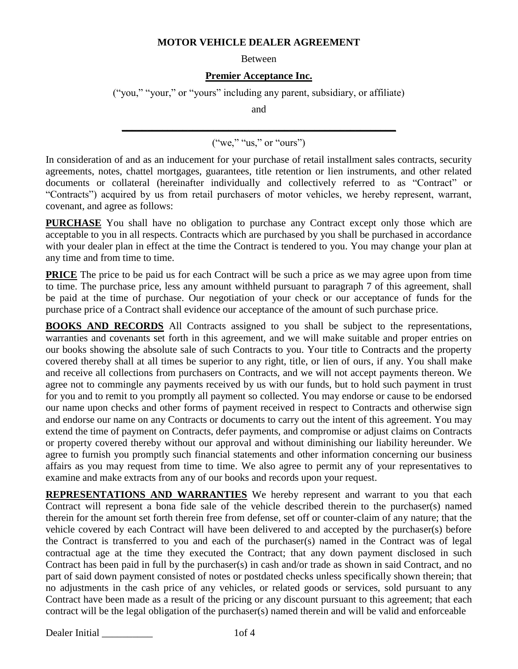## **MOTOR VEHICLE DEALER AGREEMENT**

Between

## **Premier Acceptance Inc.**

("you," "your," or "yours" including any parent, subsidiary, or affiliate)

and

## **\_\_\_\_\_\_\_\_\_\_\_\_\_\_\_\_\_\_\_\_\_\_\_\_\_\_\_\_\_\_\_\_\_\_\_\_\_\_\_\_\_\_\_\_\_\_\_\_\_\_\_\_\_\_**  $("we," "us," or "ours")$

In consideration of and as an inducement for your purchase of retail installment sales contracts, security agreements, notes, chattel mortgages, guarantees, title retention or lien instruments, and other related documents or collateral (hereinafter individually and collectively referred to as "Contract" or "Contracts") acquired by us from retail purchasers of motor vehicles, we hereby represent, warrant, covenant, and agree as follows:

**PURCHASE** You shall have no obligation to purchase any Contract except only those which are acceptable to you in all respects. Contracts which are purchased by you shall be purchased in accordance with your dealer plan in effect at the time the Contract is tendered to you. You may change your plan at any time and from time to time.

**PRICE** The price to be paid us for each Contract will be such a price as we may agree upon from time to time. The purchase price, less any amount withheld pursuant to paragraph 7 of this agreement, shall be paid at the time of purchase. Our negotiation of your check or our acceptance of funds for the purchase price of a Contract shall evidence our acceptance of the amount of such purchase price.

**BOOKS AND RECORDS** All Contracts assigned to you shall be subject to the representations, warranties and covenants set forth in this agreement, and we will make suitable and proper entries on our books showing the absolute sale of such Contracts to you. Your title to Contracts and the property covered thereby shall at all times be superior to any right, title, or lien of ours, if any. You shall make and receive all collections from purchasers on Contracts, and we will not accept payments thereon. We agree not to commingle any payments received by us with our funds, but to hold such payment in trust for you and to remit to you promptly all payment so collected. You may endorse or cause to be endorsed our name upon checks and other forms of payment received in respect to Contracts and otherwise sign and endorse our name on any Contracts or documents to carry out the intent of this agreement. You may extend the time of payment on Contracts, defer payments, and compromise or adjust claims on Contracts or property covered thereby without our approval and without diminishing our liability hereunder. We agree to furnish you promptly such financial statements and other information concerning our business affairs as you may request from time to time. We also agree to permit any of your representatives to examine and make extracts from any of our books and records upon your request.

**REPRESENTATIONS AND WARRANTIES** We hereby represent and warrant to you that each Contract will represent a bona fide sale of the vehicle described therein to the purchaser(s) named therein for the amount set forth therein free from defense, set off or counter-claim of any nature; that the vehicle covered by each Contract will have been delivered to and accepted by the purchaser(s) before the Contract is transferred to you and each of the purchaser(s) named in the Contract was of legal contractual age at the time they executed the Contract; that any down payment disclosed in such Contract has been paid in full by the purchaser(s) in cash and/or trade as shown in said Contract, and no part of said down payment consisted of notes or postdated checks unless specifically shown therein; that no adjustments in the cash price of any vehicles, or related goods or services, sold pursuant to any Contract have been made as a result of the pricing or any discount pursuant to this agreement; that each contract will be the legal obligation of the purchaser(s) named therein and will be valid and enforceable

Dealer Initial 1of 4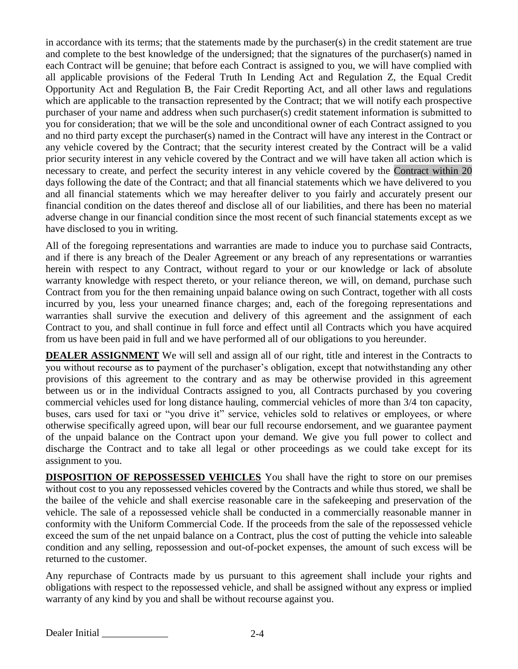in accordance with its terms; that the statements made by the purchaser(s) in the credit statement are true and complete to the best knowledge of the undersigned; that the signatures of the purchaser(s) named in each Contract will be genuine; that before each Contract is assigned to you, we will have complied with all applicable provisions of the Federal Truth In Lending Act and Regulation Z, the Equal Credit Opportunity Act and Regulation B, the Fair Credit Reporting Act, and all other laws and regulations which are applicable to the transaction represented by the Contract; that we will notify each prospective purchaser of your name and address when such purchaser(s) credit statement information is submitted to you for consideration; that we will be the sole and unconditional owner of each Contract assigned to you and no third party except the purchaser(s) named in the Contract will have any interest in the Contract or any vehicle covered by the Contract; that the security interest created by the Contract will be a valid prior security interest in any vehicle covered by the Contract and we will have taken all action which is necessary to create, and perfect the security interest in any vehicle covered by the Contract within 20 days following the date of the Contract; and that all financial statements which we have delivered to you and all financial statements which we may hereafter deliver to you fairly and accurately present our financial condition on the dates thereof and disclose all of our liabilities, and there has been no material adverse change in our financial condition since the most recent of such financial statements except as we have disclosed to you in writing.

All of the foregoing representations and warranties are made to induce you to purchase said Contracts, and if there is any breach of the Dealer Agreement or any breach of any representations or warranties herein with respect to any Contract, without regard to your or our knowledge or lack of absolute warranty knowledge with respect thereto, or your reliance thereon, we will, on demand, purchase such Contract from you for the then remaining unpaid balance owing on such Contract, together with all costs incurred by you, less your unearned finance charges; and, each of the foregoing representations and warranties shall survive the execution and delivery of this agreement and the assignment of each Contract to you, and shall continue in full force and effect until all Contracts which you have acquired from us have been paid in full and we have performed all of our obligations to you hereunder.

**DEALER ASSIGNMENT** We will sell and assign all of our right, title and interest in the Contracts to you without recourse as to payment of the purchaser's obligation, except that notwithstanding any other provisions of this agreement to the contrary and as may be otherwise provided in this agreement between us or in the individual Contracts assigned to you, all Contracts purchased by you covering commercial vehicles used for long distance hauling, commercial vehicles of more than 3/4 ton capacity, buses, cars used for taxi or "you drive it" service, vehicles sold to relatives or employees, or where otherwise specifically agreed upon, will bear our full recourse endorsement, and we guarantee payment of the unpaid balance on the Contract upon your demand. We give you full power to collect and discharge the Contract and to take all legal or other proceedings as we could take except for its assignment to you.

**DISPOSITION OF REPOSSESSED VEHICLES** You shall have the right to store on our premises without cost to you any repossessed vehicles covered by the Contracts and while thus stored, we shall be the bailee of the vehicle and shall exercise reasonable care in the safekeeping and preservation of the vehicle. The sale of a repossessed vehicle shall be conducted in a commercially reasonable manner in conformity with the Uniform Commercial Code. If the proceeds from the sale of the repossessed vehicle exceed the sum of the net unpaid balance on a Contract, plus the cost of putting the vehicle into saleable condition and any selling, repossession and out-of-pocket expenses, the amount of such excess will be returned to the customer.

Any repurchase of Contracts made by us pursuant to this agreement shall include your rights and obligations with respect to the repossessed vehicle, and shall be assigned without any express or implied warranty of any kind by you and shall be without recourse against you.

Dealer Initial 2-4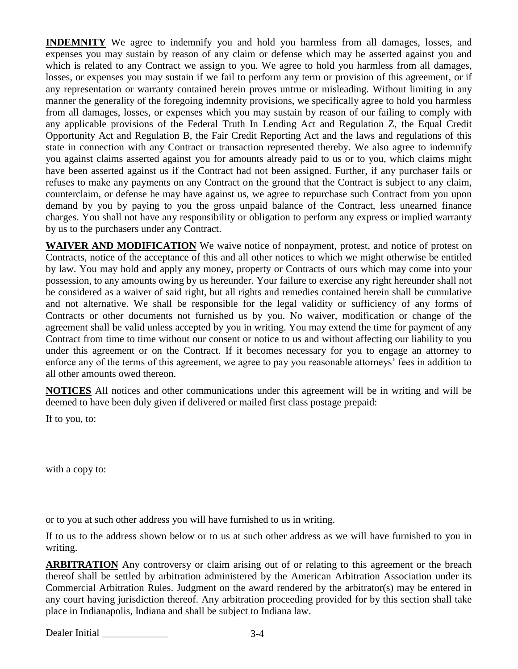**INDEMNITY** We agree to indemnify you and hold you harmless from all damages, losses, and expenses you may sustain by reason of any claim or defense which may be asserted against you and which is related to any Contract we assign to you. We agree to hold you harmless from all damages, losses, or expenses you may sustain if we fail to perform any term or provision of this agreement, or if any representation or warranty contained herein proves untrue or misleading. Without limiting in any manner the generality of the foregoing indemnity provisions, we specifically agree to hold you harmless from all damages, losses, or expenses which you may sustain by reason of our failing to comply with any applicable provisions of the Federal Truth In Lending Act and Regulation Z, the Equal Credit Opportunity Act and Regulation B, the Fair Credit Reporting Act and the laws and regulations of this state in connection with any Contract or transaction represented thereby. We also agree to indemnify you against claims asserted against you for amounts already paid to us or to you, which claims might have been asserted against us if the Contract had not been assigned. Further, if any purchaser fails or refuses to make any payments on any Contract on the ground that the Contract is subject to any claim, counterclaim, or defense he may have against us, we agree to repurchase such Contract from you upon demand by you by paying to you the gross unpaid balance of the Contract, less unearned finance charges. You shall not have any responsibility or obligation to perform any express or implied warranty by us to the purchasers under any Contract.

**WAIVER AND MODIFICATION** We waive notice of nonpayment, protest, and notice of protest on Contracts, notice of the acceptance of this and all other notices to which we might otherwise be entitled by law. You may hold and apply any money, property or Contracts of ours which may come into your possession, to any amounts owing by us hereunder. Your failure to exercise any right hereunder shall not be considered as a waiver of said right, but all rights and remedies contained herein shall be cumulative and not alternative. We shall be responsible for the legal validity or sufficiency of any forms of Contracts or other documents not furnished us by you. No waiver, modification or change of the agreement shall be valid unless accepted by you in writing. You may extend the time for payment of any Contract from time to time without our consent or notice to us and without affecting our liability to you under this agreement or on the Contract. If it becomes necessary for you to engage an attorney to enforce any of the terms of this agreement, we agree to pay you reasonable attorneys' fees in addition to all other amounts owed thereon.

**NOTICES** All notices and other communications under this agreement will be in writing and will be deemed to have been duly given if delivered or mailed first class postage prepaid:

If to you, to:

with a copy to:

or to you at such other address you will have furnished to us in writing.

If to us to the address shown below or to us at such other address as we will have furnished to you in writing.

**ARBITRATION** Any controversy or claim arising out of or relating to this agreement or the breach thereof shall be settled by arbitration administered by the American Arbitration Association under its Commercial Arbitration Rules. Judgment on the award rendered by the arbitrator(s) may be entered in any court having jurisdiction thereof. Any arbitration proceeding provided for by this section shall take place in Indianapolis, Indiana and shall be subject to Indiana law.

| Dealer Initial |
|----------------|
|----------------|